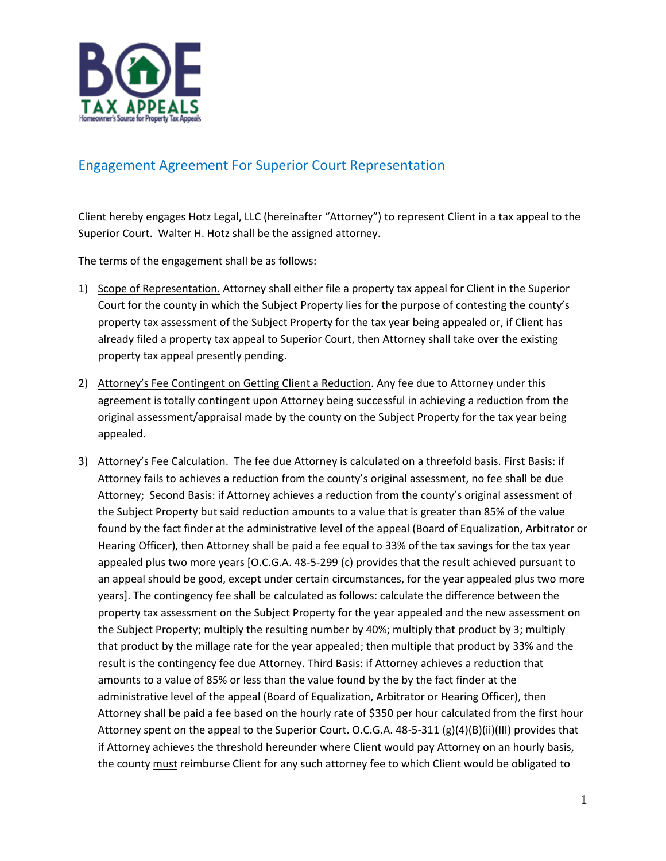

## Engagement Agreement For Superior Court Representation

Client hereby engages Hotz Legal, LLC (hereinafter "Attorney") to represent Client in a tax appeal to the Superior Court. Walter H. Hotz shall be the assigned attorney.

The terms of the engagement shall be as follows:

- 1) Scope of Representation. Attorney shall either file a property tax appeal for Client in the Superior Court for the county in which the Subject Property lies for the purpose of contesting the county's property tax assessment of the Subject Property for the tax year being appealed or, if Client has already filed a property tax appeal to Superior Court, then Attorney shall take over the existing property tax appeal presently pending.
- 2) Attorney's Fee Contingent on Getting Client a Reduction. Any fee due to Attorney under this agreement is totally contingent upon Attorney being successful in achieving a reduction from the original assessment/appraisal made by the county on the Subject Property for the tax year being appealed.
- 3) Attorney's Fee Calculation. The fee due Attorney is calculated on a threefold basis. First Basis: if Attorney fails to achieves a reduction from the county's original assessment, no fee shall be due Attorney; Second Basis: if Attorney achieves a reduction from the county's original assessment of the Subject Property but said reduction amounts to a value that is greater than 85% of the value found by the fact finder at the administrative level of the appeal (Board of Equalization, Arbitrator or Hearing Officer), then Attorney shall be paid a fee equal to 33% of the tax savings for the tax year appealed plus two more years [O.C.G.A. 48-5-299 (c) provides that the result achieved pursuant to an appeal should be good, except under certain circumstances, for the year appealed plus two more years]. The contingency fee shall be calculated as follows: calculate the difference between the property tax assessment on the Subject Property for the year appealed and the new assessment on the Subject Property; multiply the resulting number by 40%; multiply that product by 3; multiply that product by the millage rate for the year appealed; then multiple that product by 33% and the result is the contingency fee due Attorney. Third Basis: if Attorney achieves a reduction that amounts to a value of 85% or less than the value found by the by the fact finder at the administrative level of the appeal (Board of Equalization, Arbitrator or Hearing Officer), then Attorney shall be paid a fee based on the hourly rate of \$350 per hour calculated from the first hour Attorney spent on the appeal to the Superior Court. O.C.G.A. 48-5-311 (g)(4)(B)(ii)(III) provides that if Attorney achieves the threshold hereunder where Client would pay Attorney on an hourly basis, the county must reimburse Client for any such attorney fee to which Client would be obligated to